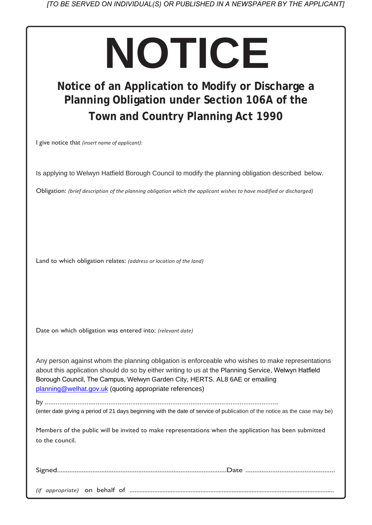# *[TO BE SERVED ON INDIVIDUAL(S) OR PUBLISHED IN A NEWSPAPER BY THE APPLICANT]*

# **NOTICE**

# **Notice of an Application to Modify or Discharge a Planning Obligation under Section 106A of the Town and Country Planning Act 1990**

I give notice that *(insert name of applicant):*

Is applying to Welwyn Hatfield Borough Council to modify the planning obligation described below.

Obligation: *(brief description of the planning obligation which the applicant wishes to have modified or discharged)*

Land to which obligation relates: *(address or location of the land)*

Date on which obligation was entered into: *(relevant date)*

Any person against whom the planning obligation is enforceable who wishes to make representations about this application should do so by either writing to us at the Planning Service, Welwyn Hatfield Borough Council, The Campus, Welwyn Garden City, HERTS. AL8 6AE or emailing [planning@welhat.gov.uk](mailto:planning@welhat.gov.uk) (quoting appropriate references)

by ................................................................................................................................

(enter date giving a period of 21 days beginning with the date of service of publication of the notice as the case may be)

Members of the public will be invited to make representations when the application has been submitted to the council.